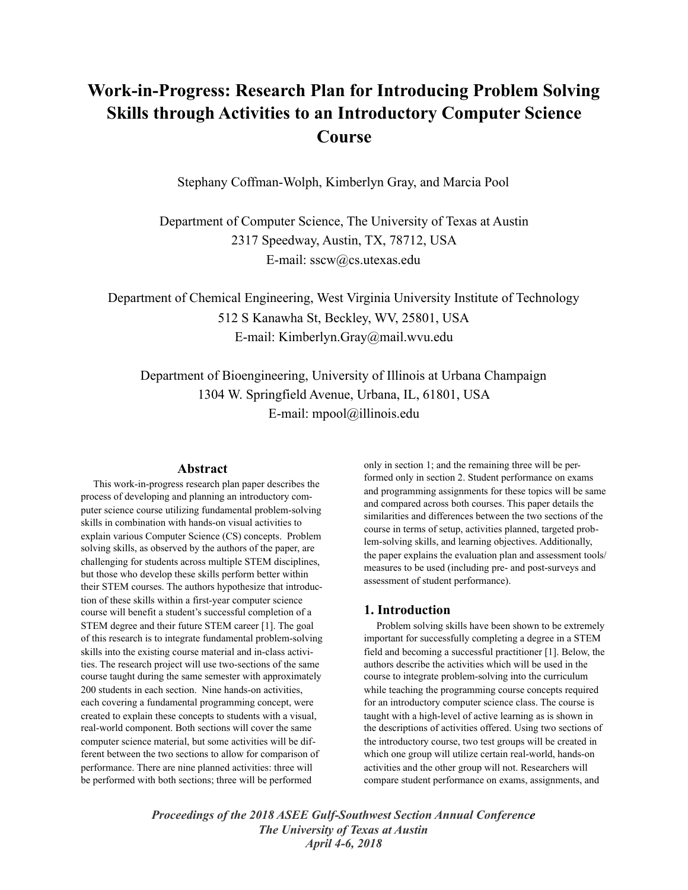# **Work-in-Progress: Research Plan for Introducing Problem Solving Skills through Activities to an Introductory Computer Science Course**

Stephany Coffman-Wolph, Kimberlyn Gray, and Marcia Pool

Department of Computer Science, The University of Texas at Austin 2317 Speedway, Austin, TX, 78712, USA E-mail: sscw@cs.utexas.edu

Department of Chemical Engineering, West Virginia University Institute of Technology 512 S Kanawha St, Beckley, WV, 25801, USA E-mail: Kimberlyn.Gray@mail.wvu.edu

Department of Bioengineering, University of Illinois at Urbana Champaign 1304 W. Springfield Avenue, Urbana, IL, 61801, USA E-mail: mpool@illinois.edu

## **Abstract**

 This work-in-progress research plan paper describes the process of developing and planning an introductory computer science course utilizing fundamental problem-solving skills in combination with hands-on visual activities to explain various Computer Science (CS) concepts. Problem solving skills, as observed by the authors of the paper, are challenging for students across multiple STEM disciplines, but those who develop these skills perform better within their STEM courses. The authors hypothesize that introduction of these skills within a first-year computer science course will benefit a student's successful completion of a STEM degree and their future STEM career [1]. The goal of this research is to integrate fundamental problem-solving skills into the existing course material and in-class activities. The research project will use two-sections of the same course taught during the same semester with approximately 200 students in each section. Nine hands-on activities, each covering a fundamental programming concept, were created to explain these concepts to students with a visual, real-world component. Both sections will cover the same computer science material, but some activities will be different between the two sections to allow for comparison of performance. There are nine planned activities: three will be performed with both sections; three will be performed

only in section 1; and the remaining three will be performed only in section 2. Student performance on exams and programming assignments for these topics will be same and compared across both courses. This paper details the similarities and differences between the two sections of the course in terms of setup, activities planned, targeted problem-solving skills, and learning objectives. Additionally, the paper explains the evaluation plan and assessment tools/ measures to be used (including pre- and post-surveys and assessment of student performance).

# **1. Introduction**

 Problem solving skills have been shown to be extremely important for successfully completing a degree in a STEM field and becoming a successful practitioner [1]. Below, the authors describe the activities which will be used in the course to integrate problem-solving into the curriculum while teaching the programming course concepts required for an introductory computer science class. The course is taught with a high-level of active learning as is shown in the descriptions of activities offered. Using two sections of the introductory course, two test groups will be created in which one group will utilize certain real-world, hands-on activities and the other group will not. Researchers will compare student performance on exams, assignments, and

*Proceedings of the 2018 ASEE Gulf-Southwest Section Annual Conference The University of Texas at Austin April 4-6, 2018*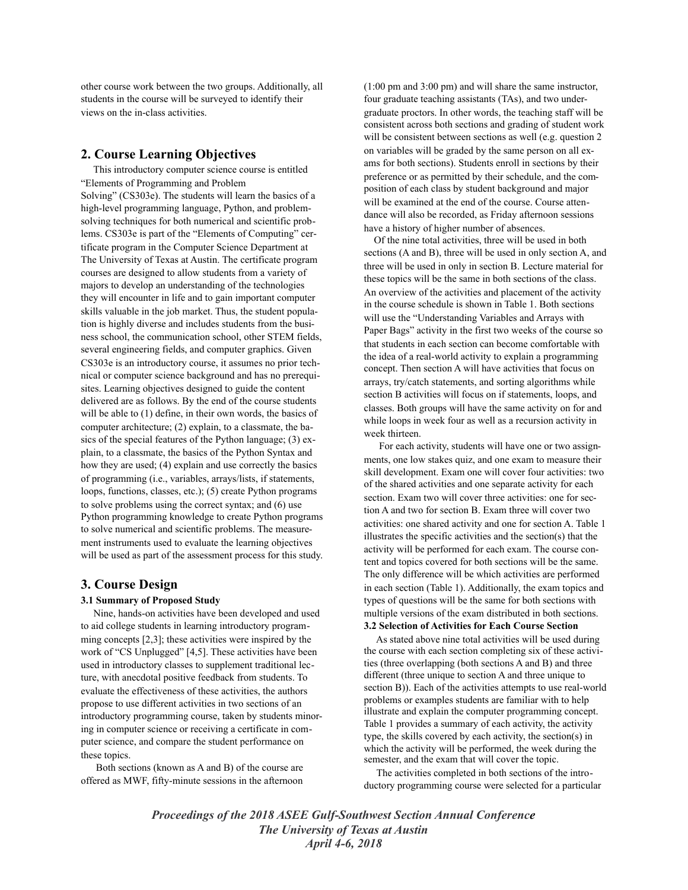other course work between the two groups. Additionally, all students in the course will be surveyed to identify their views on the in-class activities.

# **2. Course Learning Objectives**

 This introductory computer science course is entitled "Elements of Programming and Problem Solving" (CS303e). The students will learn the basics of a high-level programming language, Python, and problemsolving techniques for both numerical and scientific problems. CS303e is part of the "Elements of Computing" certificate program in the Computer Science Department at The University of Texas at Austin. The certificate program courses are designed to allow students from a variety of majors to develop an understanding of the technologies they will encounter in life and to gain important computer skills valuable in the job market. Thus, the student population is highly diverse and includes students from the business school, the communication school, other STEM fields, several engineering fields, and computer graphics. Given CS303e is an introductory course, it assumes no prior technical or computer science background and has no prerequisites. Learning objectives designed to guide the content delivered are as follows. By the end of the course students will be able to (1) define, in their own words, the basics of computer architecture; (2) explain, to a classmate, the basics of the special features of the Python language; (3) explain, to a classmate, the basics of the Python Syntax and how they are used; (4) explain and use correctly the basics of programming (i.e., variables, arrays/lists, if statements, loops, functions, classes, etc.); (5) create Python programs to solve problems using the correct syntax; and (6) use Python programming knowledge to create Python programs to solve numerical and scientific problems. The measurement instruments used to evaluate the learning objectives will be used as part of the assessment process for this study.

## **3. Course Design**

## **3.1 Summary of Proposed Study**

 Nine, hands-on activities have been developed and used to aid college students in learning introductory programming concepts [2,3]; these activities were inspired by the work of "CS Unplugged" [4,5]. These activities have been used in introductory classes to supplement traditional lecture, with anecdotal positive feedback from students. To evaluate the effectiveness of these activities, the authors propose to use different activities in two sections of an introductory programming course, taken by students minoring in computer science or receiving a certificate in computer science, and compare the student performance on these topics.

 Both sections (known as A and B) of the course are offered as MWF, fifty-minute sessions in the afternoon (1:00 pm and 3:00 pm) and will share the same instructor, four graduate teaching assistants (TAs), and two undergraduate proctors. In other words, the teaching staff will be consistent across both sections and grading of student work will be consistent between sections as well (e.g. question 2) on variables will be graded by the same person on all exams for both sections). Students enroll in sections by their preference or as permitted by their schedule, and the composition of each class by student background and major will be examined at the end of the course. Course attendance will also be recorded, as Friday afternoon sessions have a history of higher number of absences.

 Of the nine total activities, three will be used in both sections (A and B), three will be used in only section A, and three will be used in only in section B. Lecture material for these topics will be the same in both sections of the class. An overview of the activities and placement of the activity in the course schedule is shown in Table 1. Both sections will use the "Understanding Variables and Arrays with Paper Bags" activity in the first two weeks of the course so that students in each section can become comfortable with the idea of a real-world activity to explain a programming concept. Then section A will have activities that focus on arrays, try/catch statements, and sorting algorithms while section B activities will focus on if statements, loops, and classes. Both groups will have the same activity on for and while loops in week four as well as a recursion activity in week thirteen.

 For each activity, students will have one or two assignments, one low stakes quiz, and one exam to measure their skill development. Exam one will cover four activities: two of the shared activities and one separate activity for each section. Exam two will cover three activities: one for section A and two for section B. Exam three will cover two activities: one shared activity and one for section A. Table 1 illustrates the specific activities and the section(s) that the activity will be performed for each exam. The course content and topics covered for both sections will be the same. The only difference will be which activities are performed in each section (Table 1). Additionally, the exam topics and types of questions will be the same for both sections with multiple versions of the exam distributed in both sections. **3.2 Selection of Activities for Each Course Section** 

 As stated above nine total activities will be used during the course with each section completing six of these activities (three overlapping (both sections A and B) and three different (three unique to section A and three unique to section B)). Each of the activities attempts to use real-world problems or examples students are familiar with to help illustrate and explain the computer programming concept. Table 1 provides a summary of each activity, the activity type, the skills covered by each activity, the section(s) in which the activity will be performed, the week during the semester, and the exam that will cover the topic.

 The activities completed in both sections of the introductory programming course were selected for a particular

*Proceedings of the 2018 ASEE Gulf-Southwest Section Annual Conference The University of Texas at Austin April 4-6, 2018*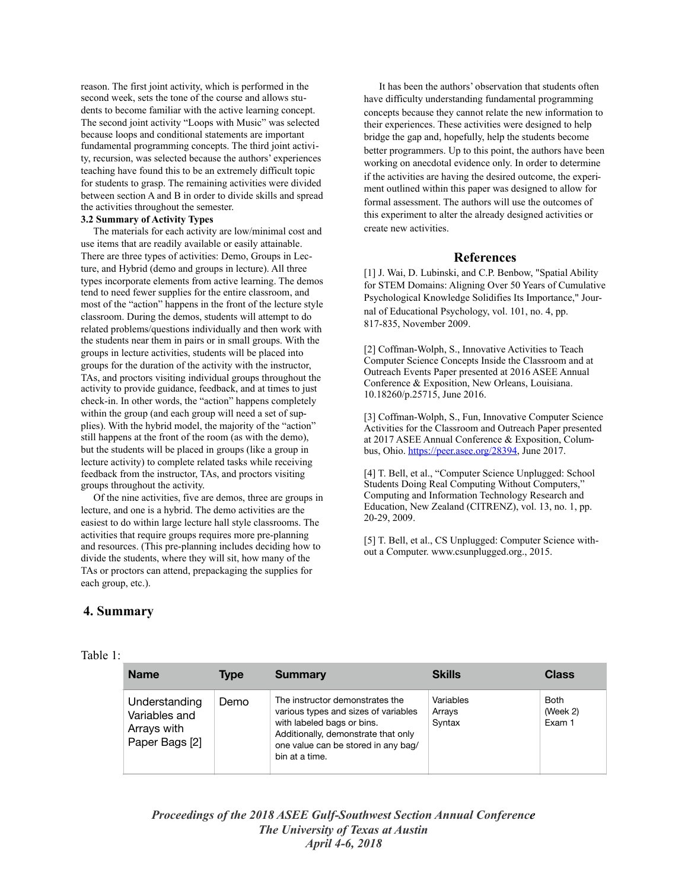reason. The first joint activity, which is performed in the second week, sets the tone of the course and allows students to become familiar with the active learning concept. The second joint activity "Loops with Music" was selected because loops and conditional statements are important fundamental programming concepts. The third joint activity, recursion, was selected because the authors' experiences teaching have found this to be an extremely difficult topic for students to grasp. The remaining activities were divided between section A and B in order to divide skills and spread the activities throughout the semester.

#### **3.2 Summary of Activity Types**

 The materials for each activity are low/minimal cost and use items that are readily available or easily attainable. There are three types of activities: Demo, Groups in Lecture, and Hybrid (demo and groups in lecture). All three types incorporate elements from active learning. The demos tend to need fewer supplies for the entire classroom, and most of the "action" happens in the front of the lecture style classroom. During the demos, students will attempt to do related problems/questions individually and then work with the students near them in pairs or in small groups. With the groups in lecture activities, students will be placed into groups for the duration of the activity with the instructor, TAs, and proctors visiting individual groups throughout the activity to provide guidance, feedback, and at times to just check-in. In other words, the "action" happens completely within the group (and each group will need a set of supplies). With the hybrid model, the majority of the "action" still happens at the front of the room (as with the demo), but the students will be placed in groups (like a group in lecture activity) to complete related tasks while receiving feedback from the instructor, TAs, and proctors visiting groups throughout the activity.

 Of the nine activities, five are demos, three are groups in lecture, and one is a hybrid. The demo activities are the easiest to do within large lecture hall style classrooms. The activities that require groups requires more pre-planning and resources. (This pre-planning includes deciding how to divide the students, where they will sit, how many of the TAs or proctors can attend, prepackaging the supplies for each group, etc.).

 It has been the authors' observation that students often have difficulty understanding fundamental programming concepts because they cannot relate the new information to their experiences. These activities were designed to help bridge the gap and, hopefully, help the students become better programmers. Up to this point, the authors have been working on anecdotal evidence only. In order to determine if the activities are having the desired outcome, the experiment outlined within this paper was designed to allow for formal assessment. The authors will use the outcomes of this experiment to alter the already designed activities or create new activities.

## **References**

[1] J. Wai, D. Lubinski, and C.P. Benbow, "Spatial Ability for STEM Domains: Aligning Over 50 Years of Cumulative Psychological Knowledge Solidifies Its Importance," Journal of Educational Psychology, vol. 101, no. 4, pp. 817-835, November 2009.

[2] Coffman-Wolph, S., Innovative Activities to Teach Computer Science Concepts Inside the Classroom and at Outreach Events Paper presented at 2016 ASEE Annual Conference & Exposition, New Orleans, Louisiana. 10.18260/p.25715, June 2016.

[3] Coffman-Wolph, S., Fun, Innovative Computer Science Activities for the Classroom and Outreach Paper presented at 2017 ASEE Annual Conference & Exposition, Columbus, Ohio. <https://peer.asee.org/28394>, June 2017.

[4] T. Bell, et al., "Computer Science Unplugged: School Students Doing Real Computing Without Computers," Computing and Information Technology Research and Education, New Zealand (CITRENZ), vol. 13, no. 1, pp. 20-29, 2009.

[5] T. Bell, et al., CS Unplugged: Computer Science without a Computer. www.csunplugged.org., 2015.

# **4. Summary**

| <b>Name</b>                                                     | <b>Type</b> | <b>Summary</b>                                                                                                                                                                                        | <b>Skills</b>                 | <b>Class</b>                      |
|-----------------------------------------------------------------|-------------|-------------------------------------------------------------------------------------------------------------------------------------------------------------------------------------------------------|-------------------------------|-----------------------------------|
| Understanding<br>Variables and<br>Arrays with<br>Paper Bags [2] | Demo        | The instructor demonstrates the<br>various types and sizes of variables<br>with labeled bags or bins.<br>Additionally, demonstrate that only<br>one value can be stored in any bag/<br>bin at a time. | Variables<br>Arrays<br>Syntax | <b>Both</b><br>(Week 2)<br>Exam 1 |

# *Proceedings of the 2018 ASEE Gulf-Southwest Section Annual Conference The University of Texas at Austin April 4-6, 2018*

#### Table 1: